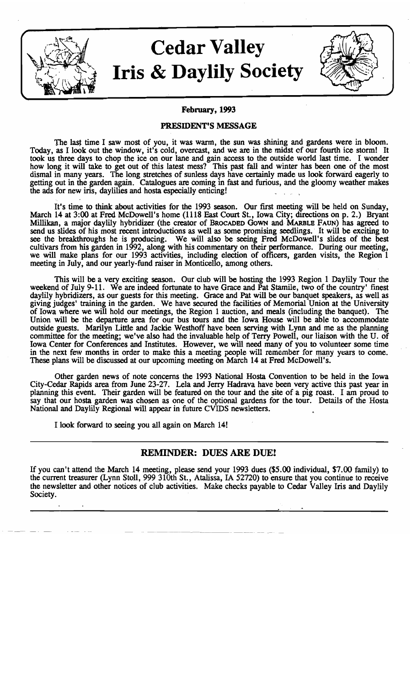

# **Cedar Valley Iris & Daylily Society**



## February, 1993

#### PRESIDENT'S MESSAGE

The last time I saw most of you, it was warm, the sun was shining and gardens were in bloom. Today, as I look out the window, it's cold, overcast, and we are in the midst of our fourth ice storm! It took us three days to chop the ice on our lane and gain access to the outside world last time. I wonder how long it will take to get out of this latest mess? This past fall and winter has been one of the most dismal in many years. The long stretches of sunless days have certainly made us look forward eagerly to getting out in the garden again. Catalogues are coming in fast and furious, and the gloomy weather makes the ads for new iris, daylilies and hosta especially enticing!

It's time to think about activities for the 1993 season. Our first meeting will be held on Sunday, March 14 at 3:00 at Fred McDowell's home (1118 East Court St., Iowa City; directions on p. 2.) Bryant Millikan, a major daylily hybridizer (the creator of BROCADED GoWN and MARBLE FAUN) has agreed to send us slides of his most recent introductions as well as some promising seedlings. It will be exciting to see the breakthroughs he is producing. We will also be seeing Fred McDowell's slides of the best cultivars from his garden in 1992, along with his commentary on their performance. During our meeting, we will make plans for our 1993 activities, including election of officers, garden visits, the Region 1 meeting in July, and our yearly-fund raiser in Monticello, among others.

This will be a very exciting season. Our club will be hosting the 1993 Region 1 Daylily Tour the weekend of July 9-11. We are indeed fortunate to have Grace and Pat Stamile, two of the country' finest daylily hybridizers, as our guests for this meeting. Grace and Pat will be our banquet speakers, as well as giving judges' training in the garden. We have secured the facilities of Memorial Union at the University of Iowa where we will hold our meetings, the Region 1 auction, and meals (including the banquet). The Union will be the departure area for our bus tours and the Iowa House will be able to accommodate outside guests. Marilyn Little and Jackie Westhoff have been serving with Lynn and me as the planning committee for the meeting; we've also had the invaluable help of Terry Powell, our liaison with the U. of Iowa Center for Conferences and Institutes. However, we will need many of you to volunteer some time in the next few months in order to make this a meeting people will remember for many years to come. These plans will be discussed at our upcoming meeting on March 14 at Fred McDowell's.

Other garden news of note concerns the 1993 National Hosta Convention to be held in the Iowa City-Cedar Rapids area from June 23-27. Lela and Jerry Hadrava have been very active this past year in planning this event. Their garden will be featured on the tour and the site of a pig roast. I am proud to say that our hosta garden was chosen as one of the optional gardens for the tour. Details of the Hosta National and Daylily Regional will appear in future CVIDS newsletters.

I look forward to seeing you all again on March 14!

# REMINDER: DUES ARE DUE!

If you can't attend the March 14 meeting, please send your 1993 dues (\$5.00 individual, \$7.00 family) to the current treasurer (Lynn Stoll, 999 310th St., Atalissa, IA 52720) to ensure that you continue to receive the newsletter and other notices of club activities. Make checks payable to Cedar Valley Iris and Daylily Society.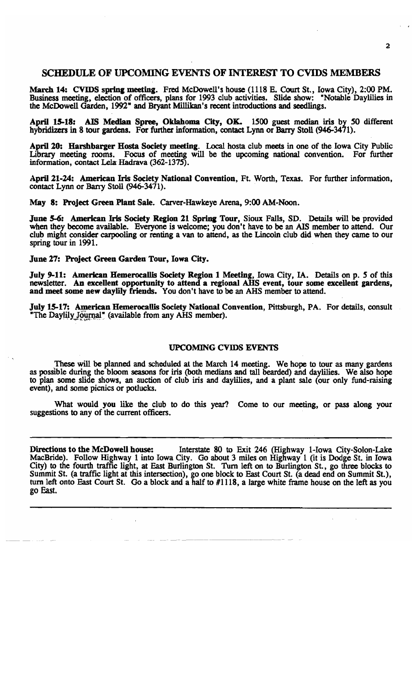## SCHEDULE OF UPCOMING EVENTS OF INTEREST TO CVIDS MEMBERS

March 14: CVIDS spring meeting. Fred McDowell's house (1118 E. Court St., Iowa City), 2:00 PM. Business meeting, election of officers, plans for 1993 club activities. Slide show: "Notable Daylilies in the McDowell Garden, 1992" and Bryant Millikan's recent introductions and seedlings.

April 15-18: AIS Median Spree, Oklahoma City, OK. 1500 guest median iris by 50 different hybridizers in 8 tour gardens. For further information, contact Lynn or Barry Stoll (946-3471).

April 20: Harshbarger Hosta Society meeting. Local hosta club meets in one of the Iowa City Public Library meeting rooms. Focus of meeting will be the upcoming national convention. For further information, contact Lela Hadrava (362-1375).

April21-24: American Iris Society National Convention, Ft. Worth, Texas. For further information, contact Lynn or Barry Stoll  $(946-3471)$ .

May 8: Project Green Plant Sale. Carver-Hawkeye Arena, 9:00 AM-Noon.

June 5-6: American Iris Society Region 21 Spring Tour, Sioux Falls, SD. Details will be provided when they become available. Everyone is welcome; you don't have to be an AIS member to attend. Our club might consider carpooling or renting a van to attend, as the Lincoln club did when they came to our spring tour in 1991.

June 27: Project Green Garden Tour, Iowa City.

July 9-11: American Hemerocallis Society Region 1 Meeting, Iowa City, IA. Details on p. 5 of this newsletter. An excellent opportunity to attend a regional AHS event, tour some excellent gardens, and meet some new daylily friends. You don't have to be an AHS member to attend.

July 15-17: American Hemerocallis Society National Convention, Pittsburgh, PA. For details, consult "The Daylily Journal" (available from any AHS member).

## UPCOMING CVlDS EVENTS

These will be planned and scheduled at the March 14 meeting. We hope to tour as many gardens as posslble during the bloom seasons for iris (both medians and tall bearded) and daylilies. We also hope to plan some slide shows, an auction of club iris and daylilies, and a plant sale (our only fund-raising event), and some picnics or potlucks.

What would you like the club to do this year? Come to our meeting, or pass along your suggestions to any of the current officers.

Directions to the McDowell house: Interstate 80 to Exit 246 (Highway 1-Iowa City-Solon-Lake MacBride). Follow Highway 1 into Iowa City. Go about 3 miles on Highway 1 (it is Dodge St. in Iowa City) to the fourth traffic light, at East Burlington St. Tum left on to Burlington St., go three blocks to Summit St. (a traffic light at this intersection), go one block to East Court St. (a dead end on Summit St.), tum left onto East Court St. Go a block and a half to #1118, a large white frame house on the left as you go East.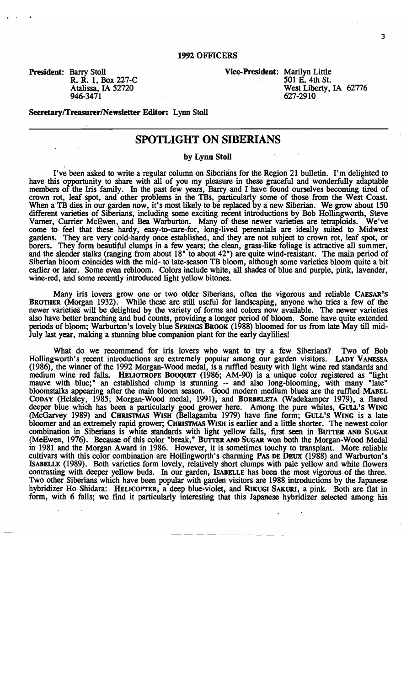President: Barry Stoll R. R. 1, Box 227-C Atalissa, IA 52720 946-3471

Vice-President: Marilyn Little 501 E. 4th St. West Liberty, IA 62776 627-2910

Secretary/Treasurer/Newsletter Editor: Lynn Stoll

# **SPOTLIGHT ON SIBERIANS**

by Lynn Stoll

I've been asked to write a regular column on Siberians for the Region 21 bulletin. I'm delighted to have this opportunity to share with all of you my pleasure in these graceful and wonderfully adaptable members of the Iris family. In the past few years, Barry and I have found ourselves becoming tired of crown rot, leaf spot, and other problems in the TBs, particularly some of those from the West Coast. When a TB dies in our garden now, it's most likely to be replaced by a new Siberian. We grow about 150 different varieties of Siberians, including some exciting recent introductions by Bob Hollingworth, Steve Varner, Currier McEwen, and Bea Warburton. Many of these newer varieties are tetraploids. We've come to feel that these hardy, easy-to-care-for, long-lived perennials are ideally suited to Midwest gardens. They are very cold-hardy once established, and they are not subject to crown rot, leaf spot, or borers. They form beautiful clumps in a few years; the clean, grass-like foliage is attractive all summer, and the slender stalks (ranging from about  $18$ " to about  $42$ ") are quite wind-resistant. The main period of Siberian bloom coincides with the mid- to late-season TB bloom, although some varieties bloom quite a bit earlier or later. Some even rebloom. Colors include white, all shades of blue and purple, pink, lavender, wine-red, and some recently introduced light yellow bitones.

Many iris lovers grow one or two older Siberians, often the vigorous and reliable CAESAR'S BROTHER (Morgan 1932). While these are still useful for landscaping, anyone who tries a few of the newer varieties will be delighted by the variety of forms and colors now available. The newer varieties also have better branching and bud counts, providing a longer period of bloom. Some have quite extended periods of bloom; Warburton's lovely blue SPRINGS BROOK (1988) bloomed for us from late May till mid-July last year, making a stunning blue companion plant for the early daylilies!

What do we recommend for iris lovers who want to try a few Siberians? Two of Bob Hollingworth's recent introductions are extremely popular among our garden visitors. LADY VANESSA (1986), the winner of the 1992 Morgan-Wood medal, is a ruffled beauty with light wine red standards and medium wine red falls. HELIOTROPE BOUQUET (1986; AM-90) is a unique color registered as "light mauve with blue;" an established clump is stunning -- and also long-blooming, with many "late" bloomstalks appearing after the main bloom season. Good modem medium blues are the ruffled MABEL CODAY (Helsley, 1985; Morgan-Wood medal, 1991), and BORBELETA (Wadekamper 1979), a flared deeper blue which has been a particularly good grower here. Among the pure whites, GULL'S WING (McGarvey 1989) and CHRISTMAS WISH (Bellagamba 1979) have fine form; GULL'S WING is a late bloomer and an extremely rapid grower; CHRISTMAS WISH is earlier and a little shorter. The newest color combination in Siberians is white standards with light yellow falls, first seen in BUTTER AND SUGAR (MeEwen, 1976). Because of this color "break," BUTTER AND SUGAR won both the Morgan-Wood Medal in 1981 and the Morgan Award in 1986. However, it is sometimes touchy to transplant. More reliable cultivars with this color combination are Hollingworth·s charming PAS DE DEUX (1988) and Warburton's IsABELLE (1989). Both varieties form lovely, relatively short clumps with pale yellow and white flowers contrasting with deeper yellow buds. In our garden, IsABELLE has been the most vigorous of the three. Two other Siberians which have been popular with garden visitors are 1988 introductions by the Japanese hybridizer Ho Shidara: HELICOPTER, a deep blue-violet, and RIKUGI SAKURI, a pink. Both are flat in form, with 6 falls; we find it particularly interesting that this Japanese hybridizer selected among his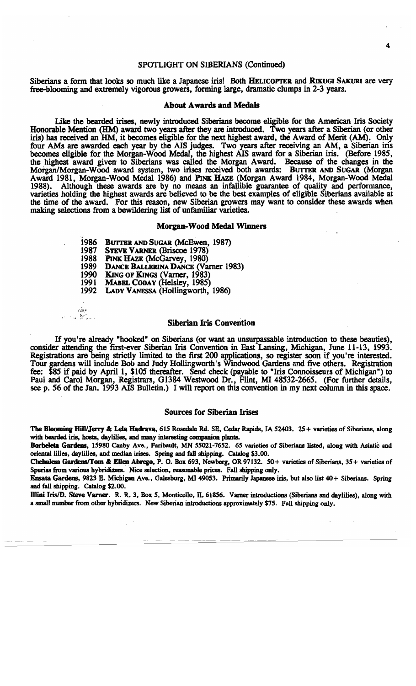#### SPOTLIGHT ON SIBERIANS (Continued)

Siberians a form that looks so much like a Japanese iris! Both HELICOPTER and RIKUGI SAKURI are very free-bloorning and extremely vigorous growers, forming large, dramatic clumps in 2-3 years.

#### About Awards and Medals

Like the bearded irises, newly introduced Siberians become eligible for the American Iris Society Honorable Mention (HM) award two years after they are introduced. Two years after a Siberian (or other iris) has received an HM, it becomes eligible for the next highest award, the Award of Merit (AM). Only four AMs are awarded each year by the AIS judges. Two years after receiving an AM, a Siberian iris becomes eligible for the Morgan-Wood Medal, the highest AIS award for a Siberian iris. (Before 1985, the highest award given- to Siberians was called the Morgan Award. Because of the changes in the Morgan/Morgan-Wood award system, two irises received both awards: BUITER AND SUGAR (Morgan Award 1981, Morgan-Wood Medal 1986) and PINK HAzE (Morgan Award 1984, Morgan-Wood Medal 1988). Although these awards are by no means an infallible guarantee of quality and performance, varieties holding the highest awards are believed to be the best examples of eligible Siberians available at the time of the award. For this reason, new Siberian growers may want to consider these awards when making selections from a bewildering list of unfamiliar varieties. .

#### Morgan-Wood Medal Winners

- 1986 BUTTER AND SUGAR (McEwen, 1987)<br>1987 STEVE VARNER (Briscoe 1978)
- 1987 STEVE VARNER (Briscoe 1978)<br>1988 PINK HAZE (McGarvey, 1980)
- 1988 PINK HAZE (McGarvey, 1980)<br>1989 DANCE BALLERINA DANCE (Va
- 1989 DANCE BALLERINA DANCE (Varner 1983)<br>1990 KING OF KINGS (Varner, 1983)
- 1990 KING OF KINGS (Varner, 1983)
- 1991 MABEL CODAY (Helsley, 1985)

. ..~,-." •. I " ", .~'.' *t '* 

 $\vec{AB}$ 

1992 LADy VANESSA (Hollingworth, 1986)

#### Siberian Iris Convention

If you're already "hooked" on Siberians (or want an unsurpassable introduction to these beauties), consider attending the first-ever Siberian Iris Convention in East Lansing, Michigan, June 11-13, 1993. Registrations are being strictly limited to the first 200 applications, so register soon if you're interested. Tour gardens will include Bob and Judy Hollingworth's Windwood Gardens and five others. Registration fee: \$85 if paid by April 1, \$105 thereafter. Send check (payable to "Iris Connoisseurs of Michigan") to Paul and Carol Morgan, Registrars, G1384 Westwood Dr., Flint, MI 48532-2665. (For further details, see p. 56 of the Jan. 1993 AIS Bulletin.) I will report on this convention in my next column in this space.

#### Sources for Siberian Irises

The Blooming Hill/Jerry & Lela Hadrava, 615 Rosedale Rd. SE, Cedar Rapids, IA 52403. 25+ varieties of Siberians, along with bearded iris, basta, daylilies, and many interesting companion plants.

Borbeleta Gardens, 15980 Canby Ave., Faribault, MN 55021-7652. 65 varieties of Siberians listed, along with Asiatic and oriental lilies, daylilies, and median irises. Spring and fall shipping. Catalog \$3.00.

Chehalem Gardens/Tom & Ellen Abrego, P. O. Box 693, Newberg, OR 97132. 50+ varieties of Siberians,  $35+$  varieties of Spurias from various hybridizers. Nice selection, reasonable prices. Fall shipping only.

Ensata Gardens, 9823 E. Michigan Ave., Galesburg, MI 49053. Primarily Japanese iris, but also list 40+ Siberians. Spring and fall shipping. Catalog \$2.00.

Dlini 1risID. Steve Varner. R. R. 3, Box *S,* Monticello, IL 61856. Varner introductions (Siberians and daylilies), along with a small number from other hybridizers. New Siberian introductions approximately \$75. Fall shipping only.

4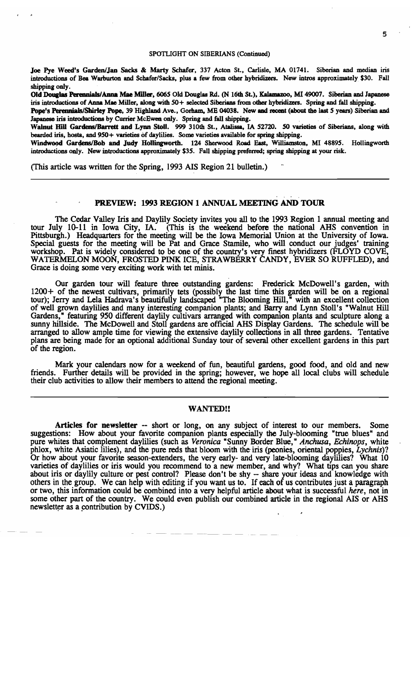Joe Pye Weed's Garden/Jan Sacks & Marty Schafer, 337 Acton St., Carlisle, MA 01741. Siberian and median iris introductions of Bea Warburton and Schafer/Sacks, plus a few from other hybridizers. New intros approximately \$30. Fall shipping only.

Old Douglas Perennials/Anna Mae Miller, 6065 Old Douglas Rd. (N 16th St.), Kalamazoo, MI 49007. Siberian and Japanese iris introductions of Anna Mae Miller, along with  $50+$  selected Siberians from other hybridizers. Spring and fall shipping.

Pope's Perennials/Shirley Pope, 39 Highland Ave., Gorham, ME 04038. New and recent (about the last 5 years) Siberian and Japanese iris introductions by Currier McEwen only. Spring and fall shipping.

Walnut Hill Gardens/Barrett and Lynn Stoll. 999 310th St., Atalissa, IA 52720. 50 varieties of Siberians, along with bearded iris, hosta, and 950+ varieties of daylilies. Some varieties available for spring shipping.

Windwood Gardens/Bob and Judy Hollingworth. 124 Sherwood Road East, Williamston, MI 48895. Hollingworth introductions only. New introductions approximately \$35. Fall shipping preferred; spring shipping at your risk.

(This article was written for the Spring, 1993 AIS Region 21 bulletin.)

#### PREVIEW: 1993 REGION 1 ANNUAL MEETING AND TOUR

. The Cedar Valley Iris and Daylily Society invites you all to the 1993 Region 1 annual meeting and tour July 10-11 in Iowa City, lA. (This is the weekend before the national AHS convention in Pittsburgh.) Headquarters for the meeting will be the Iowa Memorial Union at the University of Iowa. Special guests for the meeting will be Pat and Grace Stamile, who will conduct our judges' training workshop. Pat is widely considered to be one of the country's very finest hybridizers (FLOYD COVE, WATERMELON MOON, FROSTED PINK ICE, STRAWBERRY CANDY, EVER SO RUFFLED), and Grace is doing some very exciting work with tet minis.

Our garden tour will feature three outstanding gardens: Frederick McDowell's garden, with 1200+ of the newest cultivars, primarily tets (possibly the last time this garden will be on a regional tour); Jerry and Lela Hadrava's beautifully landscaped "The Blooming Hill," with an excellent collection of well grown daylilies and many interesting companion plants; and Barry and Lynn Stoll's "Walnut Hill Gardens," featuring 950 different daylily cultivars arranged with companion plants and sculpture along a sunny hillside. The McDowell and Stoll gardens are official AHS Display Gardens. The schedule will be arranged to allow ample time for viewing the extensive daylily collections in all three gardens. Tentative plans are being made for an optional additional Sunday tour of several other excellent gardens in this part of the region.

Mark your calendars now for a weekend of fun, beautiful gardens, good food, and old and new friends. Further details will be provided in the spring; however, we hope all local clubs will schedule their club activities to allow their members to attend the regional meeting.

#### WANTED!!

Articles for newsletter -- short or long, on any subject of interest to our members. Some suggestions: How about your favorite companion plants especially the July-blooming "true blues" and pure whites that complement daylilies (such as *Veronica* "Sunny Border Blue," *Anchusa, £Chinops,* white phlox, white Asiatic lilies), and the pure reds that bloom with the-iris (peonies, oriental poppies, *Lychnis)?*  Or how about your favorite season-extenders, the very early- and very late-blooming daylilies? What 10 varieties of daylilies or iris would you recommend to a new member, and why? What tips can you share about iris or daylily culture or pest control? Please don't be shy - share your ideas and knowledge with others in the group. We can help with editing if you want us to. If each of us contributes just a paragraph or two, this information could be combined into a very helpful article about what is successful *here,* not in some other part of the country. We could even publish our combined article in the regional AIS or AHS newsletter as a contribution by CVIDS.)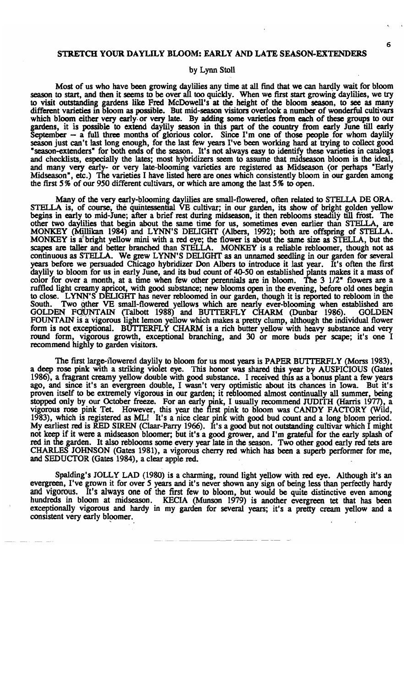#### STRETCH YOUR DAYLILY BLOOM: EARLY AND LATE SEASON-EXTENDERS

### by Lynn Stoll

Most of us who have been growing daylilies any time at all find that we can hardly wait for bloom season to start, and then it seems to be over all too quickly. When we first start growing daylilies, we try to visit outstanding gardens like Fred McDowell's at the height of the bloom season, to see as many different varieties in bloom as possible. But mid-season visitors overlook a number of wonderful cultivars which bloom either very early or very late. By adding some varieties from each of these groups to our gardens, it is possible to extend daylily season in this part of the country from early June till early September  $-$  a full three months of glorious color. Since I'm one of those people for whom daylily season just can't last long enough, for the last few years I've been working hard at trying to collect good "season-extenders" for both ends of the season. It's not always easy to identify these varieties in catalogs and checklists, especially the lates; most hybridizers seem to assume that midseason bloom is the ideal, and many very early- or very late-blooming varieties are registered as Midseason (or perhaps "Early Midseason", etc.) The varieties I have listed here are ones which consistently bloom in our garden among the first  $5\%$  of our 950 different cultivars, or which are among the last  $5\%$  to open.

Many of the very early-blooming daylilies are small-flowered, often related to STELLA DE ORA. STELLA is, of course, the quintessential VE cultivar; in our garden, its show of bright golden yellow begins in early to mid-June; after a brief rest during midseason, it then reblooms steadily till frost. The other two daylilies that begin about the same time for us, sometimes even earlier than STELLA, are MONKEY (Mi11ikan 1984) and LYNN'S DELIGHT (Albers, 1992); both are offspring of STELLA. MONKEY is a bright yellow mini with a red eye; the flower is about the same size as STELLA, but the scapes are taller and better branched than STELLA. MONKEY is a reliable rebloomer, though not as continuous as STELLA. We grew LYNN'S DELIGHT as an unnamed seedling in our garden for several years before we persuaded Chicago hybridizer Don Albers to introduce it last year. It's often the first daylily to bloom for us in early June, and its bud count of 40-50 on established plants makes it a mass of color for over a month, at a time when few other perennials are in bloom. The 3 1/2" flowers are a ruffled light creamy apricot, with good substance; new blooms open in the evening, before old ones begin to close. LYNN'S DELIGHT has never rebloomed in our garden, though it is reported to rebloom in the South. Two other VE small-flowered yellows which are nearly ever-blooming when established are GOLDEN: FOUNTAIN (Talbott 1988) and BUTTERFLY CHARM (Dunbar 1986). GOLDEN FOUNTAIN is a vigorous light lemon yellow which makes a pretty clump, although the individual flower form is not exceptional. BUTTERFLY CHARM is a rich butter yellow with heavy substance and very round form, vigorous growth, exceptional branching, and 30 or more buds per scape; it's one I recommend highly to garden visitors.

The first large-flowered daylily to bloom for us most years is PAPER BUTTERFLY (Morss 1983), a deep rose pink with a striking violet eye. This honor was shared this year by AUSPICIOUS (Gates 1986), a fragrant creamy yellow double with good substance. I received this as a bonus plant a few years ago, and since it's an evergreen double, I wasn't very optimistic about its chances in Iowa. But it's proven itself to be extremely vigorous in our garden; it rebloomed almost continually all summer, being stopped only by our October freeze. For an early pink, I usually recommend JUDITH (Harris 1977), a vigorous rose pink Tel. However, this year the first pink to bloom was CANDY FACfORY (Wild, 1983), which is registered as ML! It's a nice clear pink with good bud count and a long bloom period. My earliest red is RED SIREN (Claar-Parry 1966). It's a good but not outstanding cultivar which I might not keep if it were a midseason bloomer; but it's a good grower, and I'm grateful for the early splash of red in the garden. It also reblooms some every year late in the season. Two other good early red tets are CHARLES JOHNSON (Gates 1981), a vigorous cherry red which has been a superb performer for me, and SEDUCTOR (Gates 1984), a clear apple red.

Spalding's JOLLY LAD (1980) is a charming, round light yellow with red eye. Although it's an evergreen, I've grown it for over 5 years and it's never shown any sign of being less than perfectly hardy and vigorous. It's always one of the first few to bloom, but would be quite distinctive even among hundreds in bloom at midseason. KECIA (Munson 1979) is another evergreen tet that has been exceptionally vigorous and hardy in my garden for several years; it's a pretty cream yellow and a consistent very early bloomer.

--~-- ----

6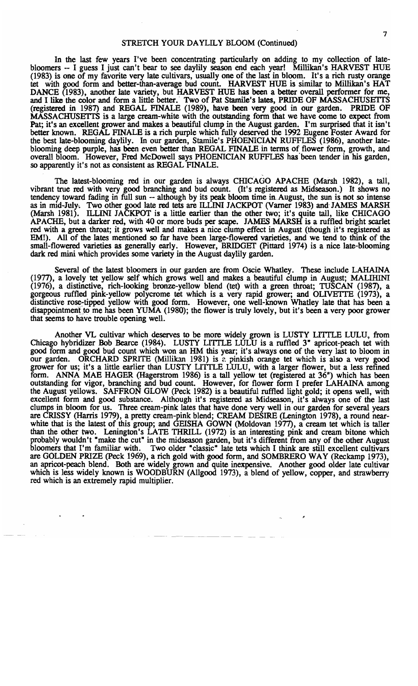#### STRETCH YOUR DAYLILY BLOOM (Continued)

In the last few years I've been concentrating particularly on adding to my collection of latebloomers -- I guess I just can't bear to see daylily season end each year! Millikan's HARVEST HUE (1983) is one of my favorite very late cultivars, usually one of the last in bloom. It's a rich rusty orange tet with good form and better-than-average bud count. HARVEST HUE is' similar to Millikan's HAT DANCE (1983), another late variety, but HARVEST HUE has been a better overall performer for me, and I like the color and form a little better.' Two of Pat Stamile's lates, PRIDE OF MASSACHUSETTS (registered in 1987) and REGAL FINALE (1989), have been very good in our garden. PRIDE OF MASSACHUSETTS is a large cream-white with the outstanding form that we have come to expect from Pat; it's an excellent grower and makes a beautiful clump in the August garden. I'm surprised that it isn't better known. REGAL FINALE is a rich purple which fully deserved the 1992 Eugene Foster Award for the best late-blooming daylily. In our garden, Stamile's PHOENICIAN RUFFLES (1986), another lateblooming deep purple, has been even better than REGAL FINALE in terms of flower form, growth, and overall bloom. However, Fred McDowell says PHOENICIAN RUFFLES has "been tender in his garden, so apparently it's not as consistent as REGAL FINALE.

The latest-blooming red in our garden is always CHICAGO APACHE (Marsh 1982), a tall, vibrant true red with very good branching and bud count. (It's registered as Midseason.) It shows no tendency toward fading in full sun  $-$  although by its peak bloom time in August, the sun is not so intense as in mid-July. Two other good late red tets are ILLINI JACKPOT (Varner 1983) and JAMES MARSH (Marsh 1981). ILLINI JACKPOT is a little earlier than the other two; it's quite tall, like CHICAGO APACHE, but a darker red, with 40 or more buds per scape. JAMES MARSH is a ruffled bright scarlet red with a green throat; it grows well and makes a nice clump effect in August (though it's registered as EM!). All of the lates mentioned so far have been large-flowered varieties, and we tend to think of the small-flowered varieties as generally early. However, BRIDGET (pittard 1974) is a nice late-blooming dark red mini which provides some variety in the August daylily garden.

Several of the latest bloomers in our garden are from Oscie Whatley. These include LAHAINA (1977), a lovely tet yellow self which grows well and makes a beautiful clump in August; MALIHINI (1976), a distinctive, rich-looking bronze-yellow blend (tet) with a green throat; TUSCAN (1987), a gorgeous ruffled pink-yellow polycrome tet which is a very rapid grower; and OLIVETTE (1973), a distinctive rose-tipped yellow with good form. However, one well-known Whatley late that has been a disappointment to me has been YUMA (1980); the flower is truly lovely, but it's been a very poor grower that seems to have trouble opening well.

Another VL cultivar which deserves to be more widely grown is LUSTY LITTLE LULU, from Chicago hybridizer Bob Bearce (1984). LUSTY LITTLE LULU is a ruffled 3" apricot-peach tet with good form and good bud count which won an HM this year; it's always one of the very last to bloom in our garden. ORCHARD SPRITE (Millikan 1981) is a pinkish orange tet which is also a very good grower for us; it's a little earlier than LUSTY LITTLE LULU, with a larger flower, but a less refined form. ANNA MAE HAGER (Hagerstrom 1986) is a tall yellow tet (registered at 36") which has been outstanding for vjgor, branching and bud count. However, for flower form I prefer LAHAINA among the August yellows. SAFFRON GLOW (peck 1982) is a beautiful ruffled light gold; it opens well, with excellent form and good substance. Although it's registered as Midseason, it's always one of the last clumps in bloom for us. Three cream-pink lates that have done very well in our garden for several years are CRISSY (Harris 1979), a pretty cream-pink blend; CREAM DESIRE (Lenington 1978), a round nearwhite that is the latest of this group; and GEISHA GOWN (Moldovan 1977), a cream tet which is taller than the other two. Lenington's LATE THRILL (1972) is an interesting pink and cream bitone which probably wouldn't "make the cut" in the midseason garden, but it's different from any of the other August bloomers that I'm familiar with. Two older "classic" late tets which I think are still excellent cultivars are GOLDEN PRIZE (peck 1969), a rich gold with good form, and SOMBRERO WAY (Reckamp 1973), an apricot-peach blend. Both are widely grown and quite inexpensive. Another good older late cultivar which is less widely known is WOODBURN (Allgood 1973), a blend of yellow, copper, and strawberry red which is an extremely rapid multiplier.